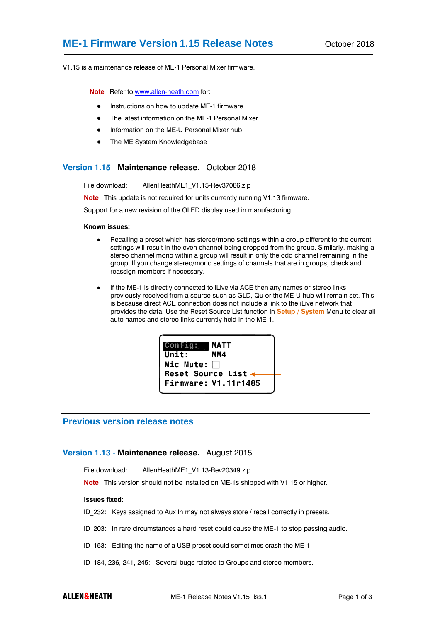V1.15 is a maintenance release of ME-1 Personal Mixer firmware.

**Note** Refer t[o www.allen-heath.com](http://www.allen-heath.com/) for:

- Instructions on how to update ME-1 firmware
- The latest information on the ME-1 Personal Mixer
- Information on the ME-U Personal Mixer hub
- The ME System Knowledgebase

## **Version 1.15** - **Maintenance release.** October 2018

File download: AllenHeathME1\_V1.15-Rev37086.zip

**Note** This update is not required for units currently running V1.13 firmware.

Support for a new revision of the OLED display used in manufacturing.

#### **Known issues:**

- Recalling a preset which has stereo/mono settings within a group different to the current settings will result in the even channel being dropped from the group. Similarly, making a stereo channel mono within a group will result in only the odd channel remaining in the group. If you change stereo/mono settings of channels that are in groups, check and reassign members if necessary.
- If the ME-1 is directly connected to iLive via ACE then any names or stereo links previously received from a source such as GLD, Qu or the ME-U hub will remain set. This is because direct ACE connection does not include a link to the iLive network that provides the data. Use the Reset Source List function in **Setup / System** Menu to clear all auto names and stereo links currently held in the ME-1.



# **Previous version release notes**

## **Version 1.13** - **Maintenance release.** August 2015

File download: AllenHeathME1\_V1.13-Rev20349.zip

**Note** This version should not be installed on ME-1s shipped with V1.15 or higher.

## **Issues fixed:**

ID 232: Keys assigned to Aux In may not always store / recall correctly in presets.

- ID 203: In rare circumstances a hard reset could cause the ME-1 to stop passing audio.
- ID 153: Editing the name of a USB preset could sometimes crash the ME-1.
- ID\_184, 236, 241, 245: Several bugs related to Groups and stereo members.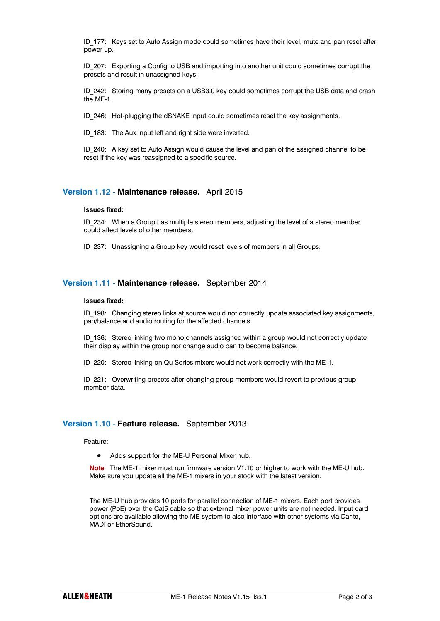ID\_177: Keys set to Auto Assign mode could sometimes have their level, mute and pan reset after power up.

ID\_207: Exporting a Config to USB and importing into another unit could sometimes corrupt the presets and result in unassigned keys.

ID\_242: Storing many presets on a USB3.0 key could sometimes corrupt the USB data and crash the ME-1.

ID\_246: Hot-plugging the dSNAKE input could sometimes reset the key assignments.

ID 183: The Aux Input left and right side were inverted.

ID 240: A key set to Auto Assign would cause the level and pan of the assigned channel to be reset if the key was reassigned to a specific source.

# **Version 1.12** - **Maintenance release.** April 2015

#### **Issues fixed:**

ID 234: When a Group has multiple stereo members, adjusting the level of a stereo member could affect levels of other members.

ID 237: Unassigning a Group key would reset levels of members in all Groups.

# **Version 1.11** - **Maintenance release.** September 2014

#### **Issues fixed:**

ID 198: Changing stereo links at source would not correctly update associated key assignments, pan/balance and audio routing for the affected channels.

ID\_136: Stereo linking two mono channels assigned within a group would not correctly update their display within the group nor change audio pan to become balance.

ID 220: Stereo linking on Qu Series mixers would not work correctly with the ME-1.

ID 221: Overwriting presets after changing group members would revert to previous group member data.

## **Version 1.10** - **Feature release.** September 2013

Feature:

Adds support for the ME-U Personal Mixer hub.

**Note** The ME-1 mixer must run firmware version V1.10 or higher to work with the ME-U hub. Make sure you update all the ME-1 mixers in your stock with the latest version.

The ME-U hub provides 10 ports for parallel connection of ME-1 mixers. Each port provides power (PoE) over the Cat5 cable so that external mixer power units are not needed. Input card options are available allowing the ME system to also interface with other systems via Dante, MADI or EtherSound.